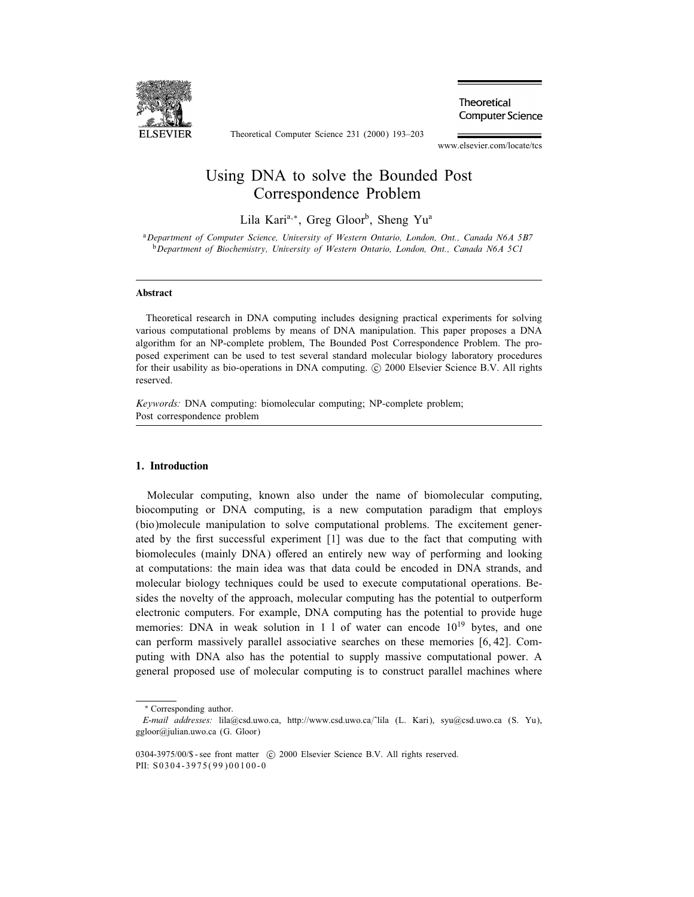

Theoretical Computer Science 231 (2000) 193–203

Theoretical **Computer Science** 

www.elsevier.com/locate/tcs

# Using DNA to solve the Bounded Post Correspondence Problem

Lila Kari<sup>a,∗</sup>, Greg Gloor<sup>b</sup>, Sheng Yu<sup>a</sup>

<sup>a</sup>Department of Computer Science, University of Western Ontario, London, Ont., Canada N6A 5B7 <sup>b</sup>Department of Biochemistry, University of Western Ontario, London, Ont., Canada N6A 5C1

### **Abstract**

Theoretical research in DNA computing includes designing practical experiments for solving various computational problems by means of DNA manipulation. This paper proposes a DNA algorithm for an NP-complete problem, The Bounded Post Correspondence Problem. The proposed experiment can be used to test several standard molecular biology laboratory procedures for their usability as bio-operations in DNA computing. © 2000 Elsevier Science B.V. All rights reserved.

Keywords: DNA computing: biomolecular computing; NP-complete problem; Post correspondence problem

## 1. Introduction

Molecular computing, known also under the name of biomolecular computing, biocomputing or DNA computing, is a new computation paradigm that employs (bio)molecule manipulation to solve computational problems. The excitement generated by the first successful experiment  $[1]$  was due to the fact that computing with biomolecules (mainly DNA) offered an entirely new way of performing and looking at computations: the main idea was that data could be encoded in DNA strands, and molecular biology techniques could be used to execute computational operations. Besides the novelty of the approach, molecular computing has the potential to outperform electronic computers. For example, DNA computing has the potential to provide huge memories: DNA in weak solution in  $1 \cdot 1$  of water can encode  $10^{19}$  bytes, and one can perform massively parallel associative searches on these memories [6, 42]. Computing with DNA also has the potential to supply massive computational power. A general proposed use of molecular computing is to construct parallel machines where

<sup>∗</sup> Corresponding author.

E-mail addresses: lila@csd.uwo.ca, http://www.csd.uwo.ca/~lila (L. Kari), syu@csd.uwo.ca (S. Yu), ggloor@julian.uwo.ca (G. Gloor)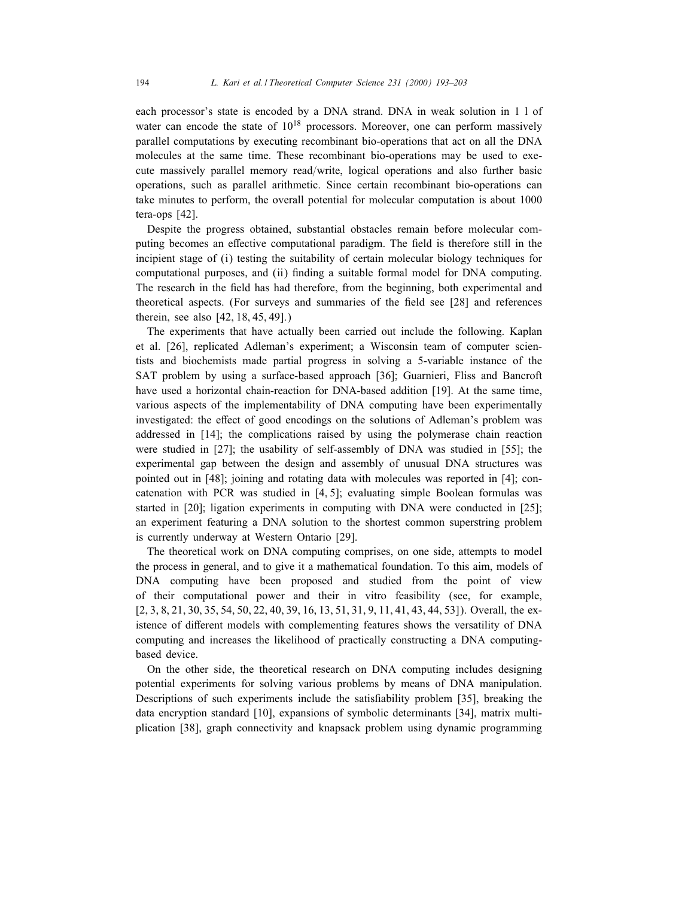each processor's state is encoded by a DNA strand. DNA in weak solution in 1 l of water can encode the state of  $10^{18}$  processors. Moreover, one can perform massively parallel computations by executing recombinant bio-operations that act on all the DNA molecules at the same time. These recombinant bio-operations may be used to execute massively parallel memory read/write, logical operations and also further basic operations, such as parallel arithmetic. Since certain recombinant bio-operations can take minutes to perform, the overall potential for molecular computation is about 1000 tera-ops [42].

Despite the progress obtained, substantial obstacles remain before molecular computing becomes an effective computational paradigm. The field is therefore still in the incipient stage of (i) testing the suitability of certain molecular biology techniques for computational purposes, and (ii) finding a suitable formal model for DNA computing. The research in the field has had therefore, from the beginning, both experimental and theoretical aspects. (For surveys and summaries of the field see  $[28]$  and references therein, see also [42, 18, 45, 49].)

The experiments that have actually been carried out include the following. Kaplan et al. [26], replicated Adleman's experiment; a Wisconsin team of computer scientists and biochemists made partial progress in solving a 5-variable instance of the SAT problem by using a surface-based approach [36]; Guarnieri, Fliss and Bancroft have used a horizontal chain-reaction for DNA-based addition [19]. At the same time, various aspects of the implementability of DNA computing have been experimentally investigated: the effect of good encodings on the solutions of Adleman's problem was addressed in [14]; the complications raised by using the polymerase chain reaction were studied in [27]; the usability of self-assembly of DNA was studied in [55]; the experimental gap between the design and assembly of unusual DNA structures was pointed out in [48]; joining and rotating data with molecules was reported in [4]; concatenation with PCR was studied in [4, 5]; evaluating simple Boolean formulas was started in [20]; ligation experiments in computing with DNA were conducted in [25]; an experiment featuring a DNA solution to the shortest common superstring problem is currently underway at Western Ontario [29].

The theoretical work on DNA computing comprises, on one side, attempts to model the process in general, and to give it a mathematical foundation. To this aim, models of DNA computing have been proposed and studied from the point of view of their computational power and their in vitro feasibility (see, for example, [2, 3, 8, 21, 30, 35, 54, 50, 22, 40, 39, 16, 13, 51, 31, 9, 11, 41, 43, 44, 53]). Overall, the existence of different models with complementing features shows the versatility of DNA computing and increases the likelihood of practically constructing a DNA computingbased device.

On the other side, the theoretical research on DNA computing includes designing potential experiments for solving various problems by means of DNA manipulation. Descriptions of such experiments include the satisability problem [35], breaking the data encryption standard [10], expansions of symbolic determinants [34], matrix multiplication [38], graph connectivity and knapsack problem using dynamic programming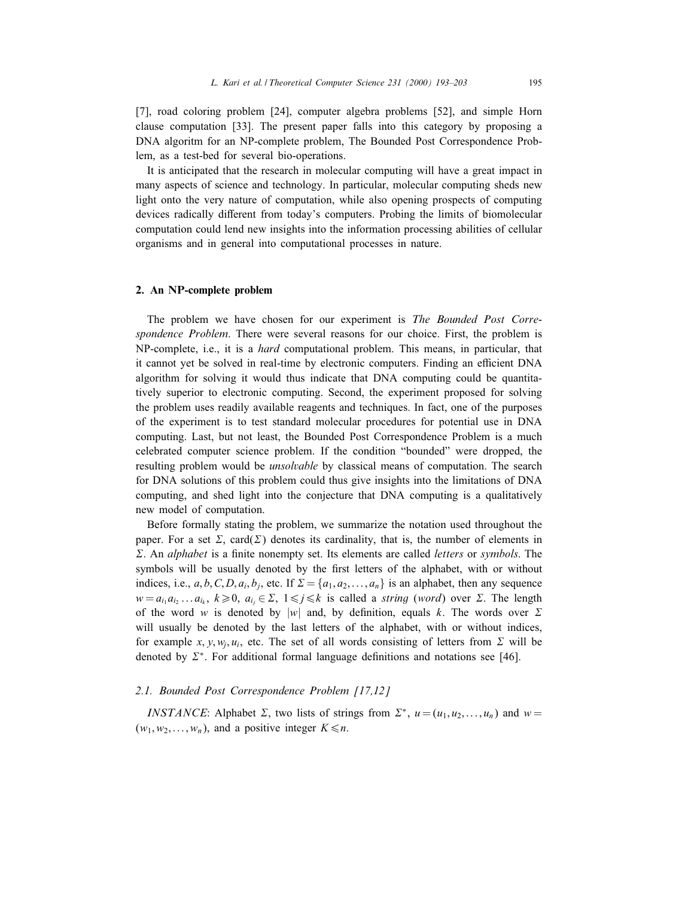[7], road coloring problem [24], computer algebra problems [52], and simple Horn clause computation [33]. The present paper falls into this category by proposing a DNA algoritm for an NP-complete problem, The Bounded Post Correspondence Problem, as a test-bed for several bio-operations.

It is anticipated that the research in molecular computing will have a great impact in many aspects of science and technology. In particular, molecular computing sheds new light onto the very nature of computation, while also opening prospects of computing devices radically different from today's computers. Probing the limits of biomolecular computation could lend new insights into the information processing abilities of cellular organisms and in general into computational processes in nature.

### 2. An NP-complete problem

The problem we have chosen for our experiment is The Bounded Post Correspondence Problem. There were several reasons for our choice. First, the problem is NP-complete, i.e., it is a *hard* computational problem. This means, in particular, that it cannot yet be solved in real-time by electronic computers. Finding an efficient DNA algorithm for solving it would thus indicate that DNA computing could be quantitatively superior to electronic computing. Second, the experiment proposed for solving the problem uses readily available reagents and techniques. In fact, one of the purposes of the experiment is to test standard molecular procedures for potential use in DNA computing. Last, but not least, the Bounded Post Correspondence Problem is a much celebrated computer science problem. If the condition "bounded" were dropped, the resulting problem would be *unsolvable* by classical means of computation. The search for DNA solutions of this problem could thus give insights into the limitations of DNA computing, and shed light into the conjecture that DNA computing is a qualitatively new model of computation.

Before formally stating the problem, we summarize the notation used throughout the paper. For a set  $\Sigma$ , card( $\Sigma$ ) denotes its cardinality, that is, the number of elements in  $\Sigma$ . An *alphabet* is a finite nonempty set. Its elements are called *letters* or *symbols*. The symbols will be usually denoted by the first letters of the alphabet, with or without indices, i.e.,  $a, b, C, D, a_i, b_j$ , etc. If  $\Sigma = \{a_1, a_2, \ldots, a_n\}$  is an alphabet, then any sequence  $w = a_{i1} a_{i2} \ldots a_{i_k}$ ,  $k \ge 0$ ,  $a_{i_j} \in \Sigma$ ,  $1 \le j \le k$  is called a string (word) over  $\Sigma$ . The length of the word w is denoted by |w| and, by definition, equals k. The words over  $\Sigma$ will usually be denoted by the last letters of the alphabet, with or without indices, for example x, y,  $w_i$ ,  $u_i$ , etc. The set of all words consisting of letters from  $\Sigma$  will be denoted by  $\Sigma^*$ . For additional formal language definitions and notations see [46].

## 2.1. Bounded Post Correspondence Problem [17,12]

*INSTANCE*: Alphabet  $\Sigma$ , two lists of strings from  $\Sigma^*$ ,  $u = (u_1, u_2, \ldots, u_n)$  and  $w =$  $(w_1, w_2,..., w_n)$ , and a positive integer  $K \le n$ .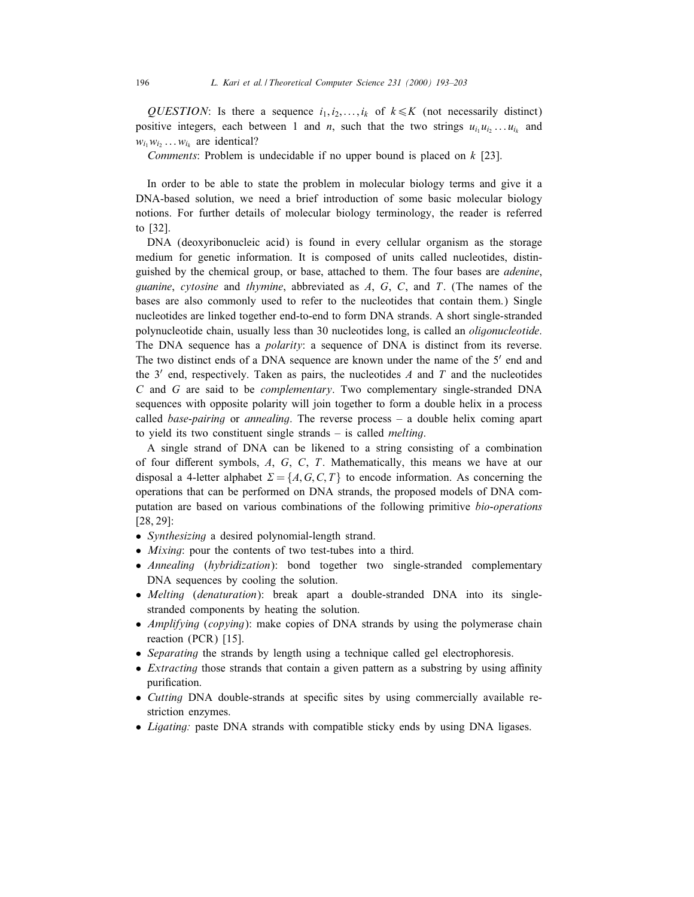QUESTION: Is there a sequence  $i_1, i_2, \ldots, i_k$  of  $k \le K$  (not necessarily distinct) positive integers, each between 1 and *n*, such that the two strings  $u_{i_1}u_{i_2} \ldots u_{i_k}$  and  $w_i_1w_i_2 \ldots w_i_k$  are identical?

*Comments:* Problem is undecidable if no upper bound is placed on  $k$  [23].

In order to be able to state the problem in molecular biology terms and give it a DNA-based solution, we need a brief introduction of some basic molecular biology notions. For further details of molecular biology terminology, the reader is referred to [32].

DNA (deoxyribonucleic acid) is found in every cellular organism as the storage medium for genetic information. It is composed of units called nucleotides, distinguished by the chemical group, or base, attached to them. The four bases are *adenine*, quanine, cytosine and thymine, abbreviated as  $A, G, C$ , and  $T$ . (The names of the bases are also commonly used to refer to the nucleotides that contain them.) Single nucleotides are linked together end-to-end to form DNA strands. A short single-stranded polynucleotide chain, usually less than 30 nucleotides long, is called an *oligonucleotide*. The DNA sequence has a *polarity*: a sequence of DNA is distinct from its reverse. The two distinct ends of a DNA sequence are known under the name of the 5' end and the 3' end, respectively. Taken as pairs, the nucleotides  $\Lambda$  and  $T$  and the nucleotides C and G are said to be complementary. Two complementary single-stranded DNA sequences with opposite polarity will join together to form a double helix in a process called *base-pairing* or *annealing*. The reverse process  $-$  a double helix coming apart to yield its two constituent single strands – is called melting.

A single strand of DNA can be likened to a string consisting of a combination of four different symbols,  $A, G, C, T$ . Mathematically, this means we have at our disposal a 4-letter alphabet  $\Sigma = \{A, G, C, T\}$  to encode information. As concerning the operations that can be performed on DNA strands, the proposed models of DNA computation are based on various combinations of the following primitive *bio-operations* [28, 29]:

- Synthesizing a desired polynomial-length strand.
- *Mixing*: pour the contents of two test-tubes into a third.
- Annealing (hybridization): bond together two single-stranded complementary DNA sequences by cooling the solution.
- Melting (denaturation): break apart a double-stranded DNA into its singlestranded components by heating the solution.
- *Amplifying (copying)*: make copies of DNA strands by using the polymerase chain reaction (PCR) [15].
- Separating the strands by length using a technique called gel electrophoresis.
- Extracting those strands that contain a given pattern as a substring by using affinity purification.
- Cutting DNA double-strands at specific sites by using commercially available restriction enzymes.
- Ligating: paste DNA strands with compatible sticky ends by using DNA ligases.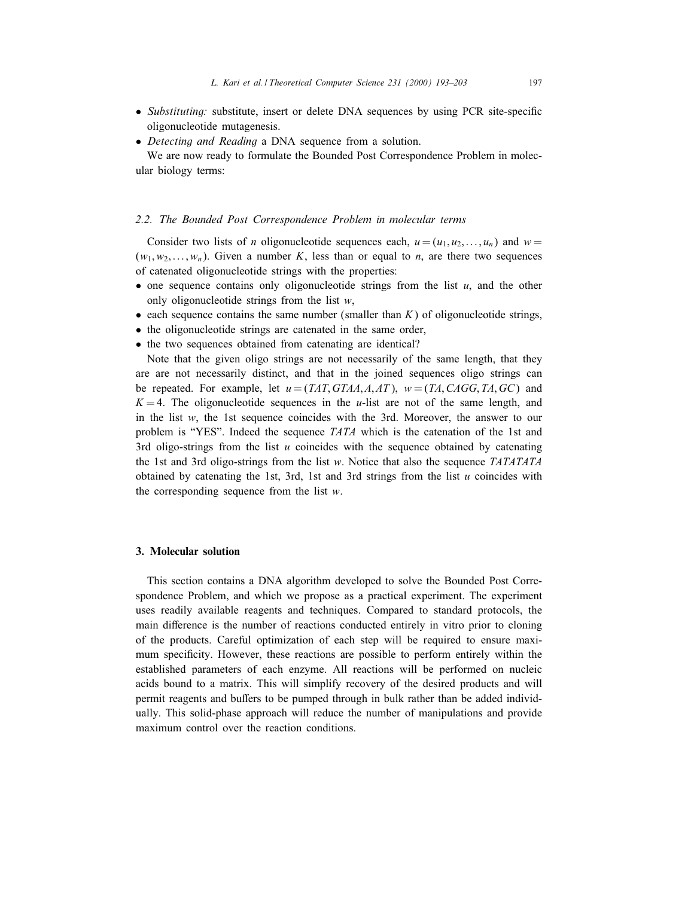- Substituting: substitute, insert or delete DNA sequences by using PCR site-specific oligonucleotide mutagenesis.
- Detecting and Reading a DNA sequence from a solution.

We are now ready to formulate the Bounded Post Correspondence Problem in molecular biology terms:

### 2.2. The Bounded Post Correspondence Problem in molecular terms

Consider two lists of *n* oligonucleotide sequences each,  $u = (u_1, u_2, \dots, u_n)$  and  $w =$  $(w_1, w_2,..., w_n)$ . Given a number K, less than or equal to n, are there two sequences of catenated oligonucleotide strings with the properties:

- one sequence contains only oligonucleotide strings from the list  $u$ , and the other only oligonucleotide strings from the list  $w$ ,
- $\bullet$  each sequence contains the same number (smaller than  $K$ ) of oligonucleotide strings,
- the oligonucleotide strings are catenated in the same order,
- the two sequences obtained from catenating are identical?

Note that the given oligo strings are not necessarily of the same length, that they are are not necessarily distinct, and that in the joined sequences oligo strings can be repeated. For example, let  $u = (TAT, GTAA, A, AT)$ ,  $w = (TA, CAGG, TA, GC)$  and  $K = 4$ . The oligonucleotide sequences in the u-list are not of the same length, and in the list  $w$ , the 1st sequence coincides with the 3rd. Moreover, the answer to our problem is "YES". Indeed the sequence TATA which is the catenation of the 1st and 3rd oligo-strings from the list  $u$  coincides with the sequence obtained by catenating the 1st and 3rd oligo-strings from the list w. Notice that also the sequence  $TATATATA$ obtained by catenating the 1st, 3rd, 1st and 3rd strings from the list  $u$  coincides with the corresponding sequence from the list  $w$ .

#### 3. Molecular solution

This section contains a DNA algorithm developed to solve the Bounded Post Correspondence Problem, and which we propose as a practical experiment. The experiment uses readily available reagents and techniques. Compared to standard protocols, the main difference is the number of reactions conducted entirely in vitro prior to cloning of the products. Careful optimization of each step will be required to ensure maximum specificity. However, these reactions are possible to perform entirely within the established parameters of each enzyme. All reactions will be performed on nucleic acids bound to a matrix. This will simplify recovery of the desired products and will permit reagents and buffers to be pumped through in bulk rather than be added individually. This solid-phase approach will reduce the number of manipulations and provide maximum control over the reaction conditions.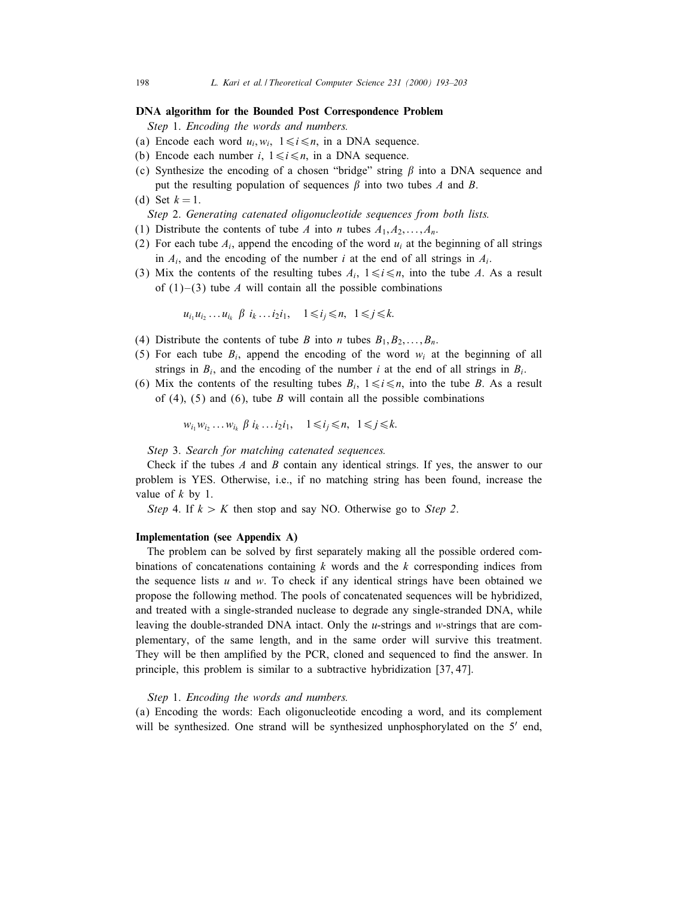## DNA algorithm for the Bounded Post Correspondence Problem

Step 1. Encoding the words and numbers.

- (a) Encode each word  $u_i, w_i$ ,  $1 \le i \le n$ , in a DNA sequence.
- (b) Encode each number i,  $1 \le i \le n$ , in a DNA sequence.
- (c) Synthesize the encoding of a chosen "bridge" string  $\beta$  into a DNA sequence and put the resulting population of sequences  $\beta$  into two tubes A and B.
- (d) Set  $k = 1$ .

Step 2. Generating catenated oligonucleotide sequences from both lists.

- (1) Distribute the contents of tube A into n tubes  $A_1, A_2, \ldots, A_n$ .
- (2) For each tube  $A_i$ , append the encoding of the word  $u_i$  at the beginning of all strings in  $A_i$ , and the encoding of the number i at the end of all strings in  $A_i$ .
- (3) Mix the contents of the resulting tubes  $A_i$ ,  $1 \leq i \leq n$ , into the tube A. As a result of  $(1)$ – $(3)$  tube A will contain all the possible combinations

 $u_{i_1}u_{i_2}\ldots u_{i_k}$   $\beta$   $i_k\ldots i_2i_1$ ,  $1\le i_j\le n$ ,  $1\le j\le k$ .

- (4) Distribute the contents of tube B into n tubes  $B_1, B_2, \ldots, B_n$ .
- (5) For each tube  $B_i$ , append the encoding of the word  $w_i$  at the beginning of all strings in  $B_i$ , and the encoding of the number i at the end of all strings in  $B_i$ .
- (6) Mix the contents of the resulting tubes  $B_i$ ,  $1 \leq i \leq n$ , into the tube B. As a result of  $(4)$ ,  $(5)$  and  $(6)$ , tube B will contain all the possible combinations

 $w_{i_1} w_{i_2} ... w_{i_k} \beta i_k ... i_2 i_1, \quad 1 \le i_j \le n, \quad 1 \le j \le k.$ 

## Step 3. Search for matching catenated sequences.

Check if the tubes  $A$  and  $B$  contain any identical strings. If yes, the answer to our problem is YES. Otherwise, i.e., if no matching string has been found, increase the value of  $k$  by 1.

Step 4. If  $k > K$  then stop and say NO. Otherwise go to Step 2.

## Implementation (see Appendix A)

The problem can be solved by first separately making all the possible ordered combinations of concatenations containing  $k$  words and the  $k$  corresponding indices from the sequence lists  $u$  and  $w$ . To check if any identical strings have been obtained we propose the following method. The pools of concatenated sequences will be hybridized, and treated with a single-stranded nuclease to degrade any single-stranded DNA, while leaving the double-stranded DNA intact. Only the  $u$ -strings and  $w$ -strings that are complementary, of the same length, and in the same order will survive this treatment. They will be then amplified by the PCR, cloned and sequenced to find the answer. In principle, this problem is similar to a subtractive hybridization [37, 47].

### Step 1. Encoding the words and numbers.

(a) Encoding the words: Each oligonucleotide encoding a word, and its complement will be synthesized. One strand will be synthesized unphosphorylated on the  $5'$  end,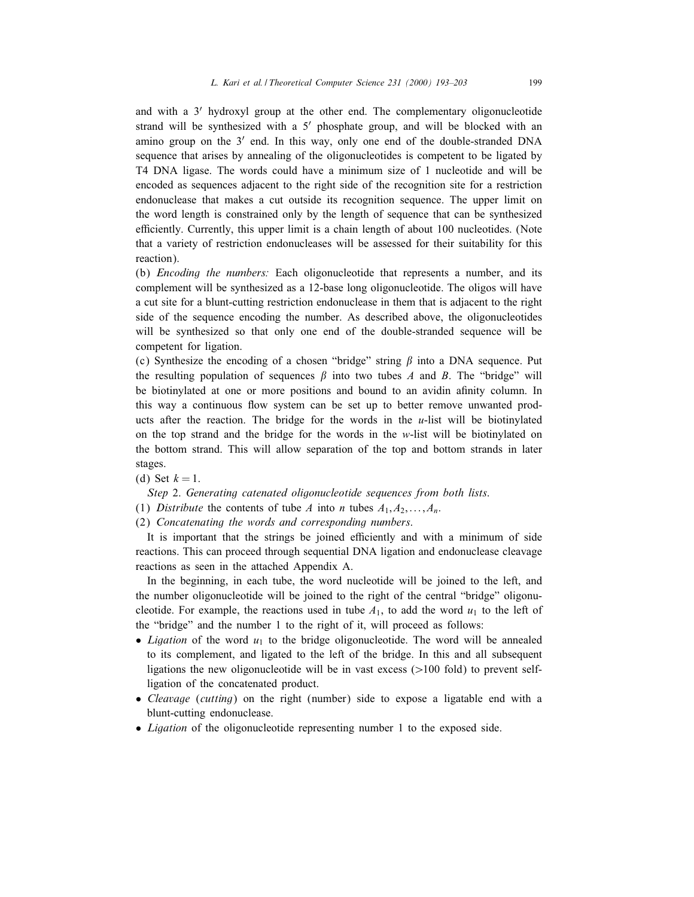and with a  $3'$  hydroxyl group at the other end. The complementary oligonucleotide strand will be synthesized with a  $5'$  phosphate group, and will be blocked with an amino group on the  $3'$  end. In this way, only one end of the double-stranded DNA sequence that arises by annealing of the oligonucleotides is competent to be ligated by T4 DNA ligase. The words could have a minimum size of 1 nucleotide and will be encoded as sequences adjacent to the right side of the recognition site for a restriction endonuclease that makes a cut outside its recognition sequence. The upper limit on the word length is constrained only by the length of sequence that can be synthesized efficiently. Currently, this upper limit is a chain length of about 100 nucleotides. (Note that a variety of restriction endonucleases will be assessed for their suitability for this reaction).

(b) Encoding the numbers: Each oligonucleotide that represents a number, and its complement will be synthesized as a 12-base long oligonucleotide. The oligos will have a cut site for a blunt-cutting restriction endonuclease in them that is adjacent to the right side of the sequence encoding the number. As described above, the oligonucleotides will be synthesized so that only one end of the double-stranded sequence will be competent for ligation.

(c) Synthesize the encoding of a chosen "bridge" string  $\beta$  into a DNA sequence. Put the resulting population of sequences  $\beta$  into two tubes A and B. The "bridge" will be biotinylated at one or more positions and bound to an avidin afinity column. In this way a continuous flow system can be set up to better remove unwanted products after the reaction. The bridge for the words in the  $u$ -list will be biotinylated on the top strand and the bridge for the words in the  $w$ -list will be biotinylated on the bottom strand. This will allow separation of the top and bottom strands in later stages.

(d) Set  $k = 1$ .

Step 2. Generating catenated oligonucleotide sequences from both lists.

(1) Distribute the contents of tube A into n tubes  $A_1, A_2, \ldots, A_n$ .

(2) Concatenating the words and corresponding numbers.

It is important that the strings be joined efficiently and with a minimum of side reactions. This can proceed through sequential DNA ligation and endonuclease cleavage reactions as seen in the attached Appendix A.

In the beginning, in each tube, the word nucleotide will be joined to the left, and the number oligonucleotide will be joined to the right of the central "bridge" oligonucleotide. For example, the reactions used in tube  $A_1$ , to add the word  $u_1$  to the left of the "bridge" and the number 1 to the right of it, will proceed as follows:

- *Ligation* of the word  $u_1$  to the bridge oligonucleotide. The word will be annealed to its complement, and ligated to the left of the bridge. In this and all subsequent ligations the new oligonucleotide will be in vast excess  $(>100 \text{ fold})$  to prevent selfligation of the concatenated product.
- Cleavage (cutting) on the right (number) side to expose a ligatable end with a blunt-cutting endonuclease.
- *Ligation* of the oligonucleotide representing number 1 to the exposed side.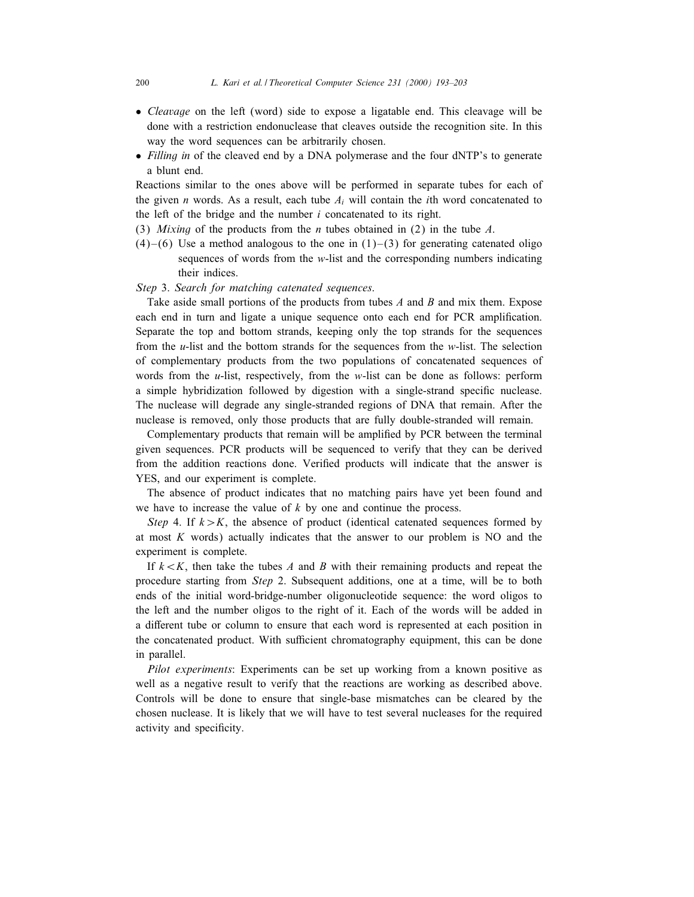- *Cleavage* on the left (word) side to expose a ligatable end. This cleavage will be done with a restriction endonuclease that cleaves outside the recognition site. In this way the word sequences can be arbitrarily chosen.
- Filling in of the cleaved end by a DNA polymerase and the four dNTP's to generate a blunt end.

Reactions similar to the ones above will be performed in separate tubes for each of the given n words. As a result, each tube  $A_i$  will contain the *i*th word concatenated to the left of the bridge and the number  $i$  concatenated to its right.

- (3) Mixing of the products from the *n* tubes obtained in (2) in the tube A.
- $(4)$ – $(6)$  Use a method analogous to the one in  $(1)$ – $(3)$  for generating catenated oligo sequences of words from the w-list and the corresponding numbers indicating their indices.
- Step 3. Search for matching catenated sequences.

Take aside small portions of the products from tubes  $A$  and  $B$  and mix them. Expose each end in turn and ligate a unique sequence onto each end for PCR amplication. Separate the top and bottom strands, keeping only the top strands for the sequences from the  $u$ -list and the bottom strands for the sequences from the  $w$ -list. The selection of complementary products from the two populations of concatenated sequences of words from the  $u$ -list, respectively, from the  $w$ -list can be done as follows: perform a simple hybridization followed by digestion with a single-strand specific nuclease. The nuclease will degrade any single-stranded regions of DNA that remain. After the nuclease is removed, only those products that are fully double-stranded will remain.

Complementary products that remain will be amplied by PCR between the terminal given sequences. PCR products will be sequenced to verify that they can be derived from the addition reactions done. Verified products will indicate that the answer is YES, and our experiment is complete.

The absence of product indicates that no matching pairs have yet been found and we have to increase the value of  $k$  by one and continue the process.

Step 4. If  $k > K$ , the absence of product (identical catenated sequences formed by at most  $K$  words) actually indicates that the answer to our problem is NO and the experiment is complete.

If  $k < K$ , then take the tubes A and B with their remaining products and repeat the procedure starting from Step 2. Subsequent additions, one at a time, will be to both ends of the initial word-bridge-number oligonucleotide sequence: the word oligos to the left and the number oligos to the right of it. Each of the words will be added in a different tube or column to ensure that each word is represented at each position in the concatenated product. With sufficient chromatography equipment, this can be done in parallel.

Pilot experiments: Experiments can be set up working from a known positive as well as a negative result to verify that the reactions are working as described above. Controls will be done to ensure that single-base mismatches can be cleared by the chosen nuclease. It is likely that we will have to test several nucleases for the required activity and specificity.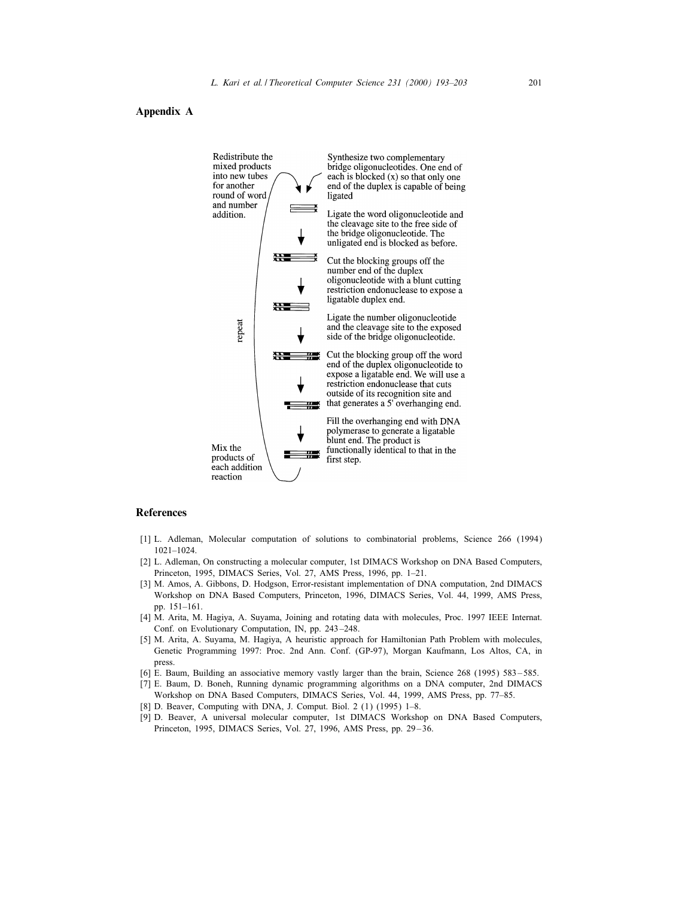## Appendix A



### References

- [1] L. Adleman, Molecular computation of solutions to combinatorial problems, Science 266 (1994) 1021–1024.
- [2] L. Adleman, On constructing a molecular computer, 1st DIMACS Workshop on DNA Based Computers, Princeton, 1995, DIMACS Series, Vol. 27, AMS Press, 1996, pp. 1–21.
- [3] M. Amos, A. Gibbons, D. Hodgson, Error-resistant implementation of DNA computation, 2nd DIMACS Workshop on DNA Based Computers, Princeton, 1996, DIMACS Series, Vol. 44, 1999, AMS Press, pp. 151–161.
- [4] M. Arita, M. Hagiya, A. Suyama, Joining and rotating data with molecules, Proc. 1997 IEEE Internat. Conf. on Evolutionary Computation, IN, pp. 243 –248.
- [5] M. Arita, A. Suyama, M. Hagiya, A heuristic approach for Hamiltonian Path Problem with molecules, Genetic Programming 1997: Proc. 2nd Ann. Conf. (GP-97), Morgan Kaufmann, Los Altos, CA, in press.
- [6] E. Baum, Building an associative memory vastly larger than the brain, Science 268 (1995) 583 585.
- [7] E. Baum, D. Boneh, Running dynamic programming algorithms on a DNA computer, 2nd DIMACS Workshop on DNA Based Computers, DIMACS Series, Vol. 44, 1999, AMS Press, pp. 77–85.
- [8] D. Beaver, Computing with DNA, J. Comput. Biol. 2 (1) (1995) 1–8.
- [9] D. Beaver, A universal molecular computer, 1st DIMACS Workshop on DNA Based Computers, Princeton, 1995, DIMACS Series, Vol. 27, 1996, AMS Press, pp. 29–36.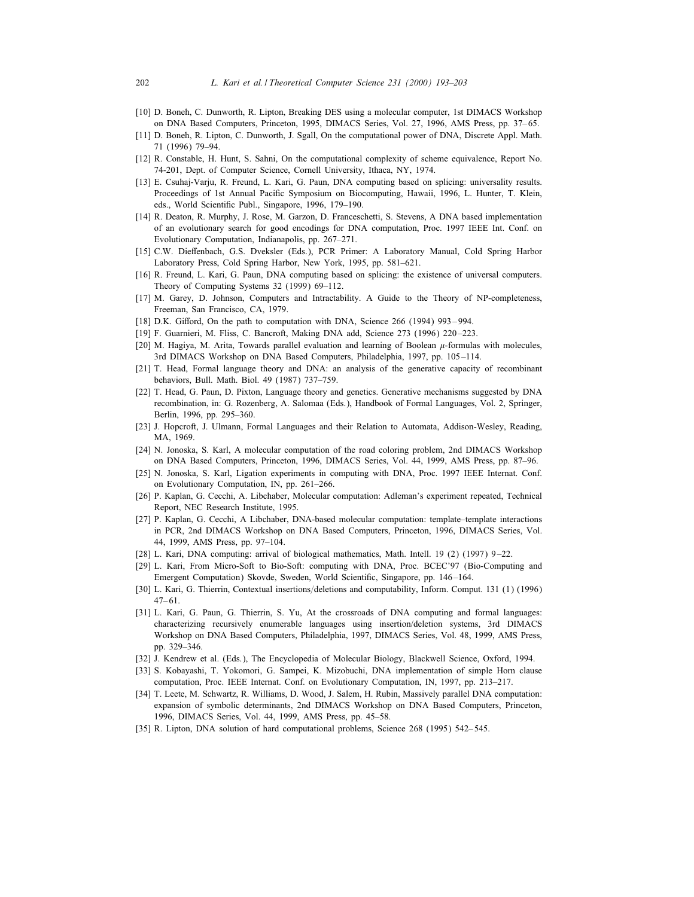- [10] D. Boneh, C. Dunworth, R. Lipton, Breaking DES using a molecular computer, 1st DIMACS Workshop on DNA Based Computers, Princeton, 1995, DIMACS Series, Vol. 27, 1996, AMS Press, pp. 37–65.
- [11] D. Boneh, R. Lipton, C. Dunworth, J. Sgall, On the computational power of DNA, Discrete Appl. Math. 71 (1996) 79–94.
- [12] R. Constable, H. Hunt, S. Sahni, On the computational complexity of scheme equivalence, Report No. 74-201, Dept. of Computer Science, Cornell University, Ithaca, NY, 1974.
- [13] E. Csuhaj-Varju, R. Freund, L. Kari, G. Paun, DNA computing based on splicing: universality results. Proceedings of 1st Annual Pacic Symposium on Biocomputing, Hawaii, 1996, L. Hunter, T. Klein, eds., World Scientific Publ., Singapore, 1996, 179-190.
- [14] R. Deaton, R. Murphy, J. Rose, M. Garzon, D. Franceschetti, S. Stevens, A DNA based implementation of an evolutionary search for good encodings for DNA computation, Proc. 1997 IEEE Int. Conf. on Evolutionary Computation, Indianapolis, pp. 267–271.
- [15] C.W. Dieffenbach, G.S. Dveksler (Eds.), PCR Primer: A Laboratory Manual, Cold Spring Harbor Laboratory Press, Cold Spring Harbor, New York, 1995, pp. 581–621.
- [16] R. Freund, L. Kari, G. Paun, DNA computing based on splicing: the existence of universal computers. Theory of Computing Systems 32 (1999) 69–112.
- [17] M. Garey, D. Johnson, Computers and Intractability. A Guide to the Theory of NP-completeness, Freeman, San Francisco, CA, 1979.
- $[18]$  D.K. Gifford, On the path to computation with DNA, Science 266 (1994) 993-994.
- [19] F. Guarnieri, M. Fliss, C. Bancroft, Making DNA add, Science 273 (1996) 220-223.
- [20] M. Hagiya, M. Arita, Towards parallel evaluation and learning of Boolean  $\mu$ -formulas with molecules, 3rd DIMACS Workshop on DNA Based Computers, Philadelphia, 1997, pp. 105 –114.
- [21] T. Head, Formal language theory and DNA: an analysis of the generative capacity of recombinant behaviors, Bull. Math. Biol. 49 (1987) 737–759.
- [22] T. Head, G. Paun, D. Pixton, Language theory and genetics. Generative mechanisms suggested by DNA recombination, in: G. Rozenberg, A. Salomaa (Eds.), Handbook of Formal Languages, Vol. 2, Springer, Berlin, 1996, pp. 295–360.
- [23] J. Hopcroft, J. Ulmann, Formal Languages and their Relation to Automata, Addison-Wesley, Reading, MA, 1969.
- [24] N. Jonoska, S. Karl, A molecular computation of the road coloring problem, 2nd DIMACS Workshop on DNA Based Computers, Princeton, 1996, DIMACS Series, Vol. 44, 1999, AMS Press, pp. 87–96.
- [25] N. Jonoska, S. Karl, Ligation experiments in computing with DNA, Proc. 1997 IEEE Internat. Conf. on Evolutionary Computation, IN, pp. 261–266.
- [26] P. Kaplan, G. Cecchi, A. Libchaber, Molecular computation: Adleman's experiment repeated, Technical Report, NEC Research Institute, 1995.
- [27] P. Kaplan, G. Cecchi, A Libchaber, DNA-based molecular computation: template–template interactions in PCR, 2nd DIMACS Workshop on DNA Based Computers, Princeton, 1996, DIMACS Series, Vol. 44, 1999, AMS Press, pp. 97–104.
- [28] L. Kari, DNA computing: arrival of biological mathematics, Math. Intell. 19 (2) (1997) 9 –22.
- [29] L. Kari, From Micro-Soft to Bio-Soft: computing with DNA, Proc. BCEC'97 (Bio-Computing and Emergent Computation) Skovde, Sweden, World Scientific, Singapore, pp. 146-164.
- [30] L. Kari, G. Thierrin, Contextual insertions/deletions and computability, Inform. Comput. 131 (1) (1996)  $47 - 61$ .
- [31] L. Kari, G. Paun, G. Thierrin, S. Yu, At the crossroads of DNA computing and formal languages: characterizing recursively enumerable languages using insertion/deletion systems, 3rd DIMACS Workshop on DNA Based Computers, Philadelphia, 1997, DIMACS Series, Vol. 48, 1999, AMS Press, pp. 329–346.
- [32] J. Kendrew et al. (Eds.), The Encyclopedia of Molecular Biology, Blackwell Science, Oxford, 1994.
- [33] S. Kobayashi, T. Yokomori, G. Sampei, K. Mizobuchi, DNA implementation of simple Horn clause computation, Proc. IEEE Internat. Conf. on Evolutionary Computation, IN, 1997, pp. 213–217.
- [34] T. Leete, M. Schwartz, R. Williams, D. Wood, J. Salem, H. Rubin, Massively parallel DNA computation: expansion of symbolic determinants, 2nd DIMACS Workshop on DNA Based Computers, Princeton, 1996, DIMACS Series, Vol. 44, 1999, AMS Press, pp. 45–58.
- [35] R. Lipton, DNA solution of hard computational problems, Science 268 (1995) 542– 545.